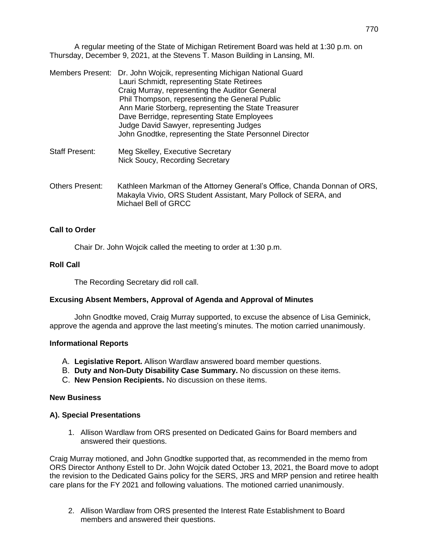A regular meeting of the State of Michigan Retirement Board was held at 1:30 p.m. on Thursday, December 9, 2021, at the Stevens T. Mason Building in Lansing, MI.

|                        | Members Present: Dr. John Wojcik, representing Michigan National Guard<br>Lauri Schmidt, representing State Retirees<br>Craig Murray, representing the Auditor General<br>Phil Thompson, representing the General Public<br>Ann Marie Storberg, representing the State Treasurer<br>Dave Berridge, representing State Employees<br>Judge David Sawyer, representing Judges<br>John Gnodtke, representing the State Personnel Director |
|------------------------|---------------------------------------------------------------------------------------------------------------------------------------------------------------------------------------------------------------------------------------------------------------------------------------------------------------------------------------------------------------------------------------------------------------------------------------|
| <b>Staff Present:</b>  | Meg Skelley, Executive Secretary<br>Nick Soucy, Recording Secretary                                                                                                                                                                                                                                                                                                                                                                   |
| <b>Others Present:</b> | Kathleen Markman of the Attorney General's Office, Chanda Donnan of ORS,<br>Makayla Vivio, ORS Student Assistant, Mary Pollock of SERA, and<br>Michael Bell of GRCC                                                                                                                                                                                                                                                                   |

### **Call to Order**

Chair Dr. John Wojcik called the meeting to order at 1:30 p.m.

#### **Roll Call**

The Recording Secretary did roll call.

## **Excusing Absent Members, Approval of Agenda and Approval of Minutes**

John Gnodtke moved, Craig Murray supported, to excuse the absence of Lisa Geminick, approve the agenda and approve the last meeting's minutes. The motion carried unanimously.

## **Informational Reports**

- A. **Legislative Report.** Allison Wardlaw answered board member questions.
- B. **Duty and Non-Duty Disability Case Summary.** No discussion on these items.
- C. **New Pension Recipients.** No discussion on these items.

#### **New Business**

## **A). Special Presentations**

1. Allison Wardlaw from ORS presented on Dedicated Gains for Board members and answered their questions.

Craig Murray motioned, and John Gnodtke supported that, as recommended in the memo from ORS Director Anthony Estell to Dr. John Wojcik dated October 13, 2021, the Board move to adopt the revision to the Dedicated Gains policy for the SERS, JRS and MRP pension and retiree health care plans for the FY 2021 and following valuations. The motioned carried unanimously.

2. Allison Wardlaw from ORS presented the Interest Rate Establishment to Board members and answered their questions.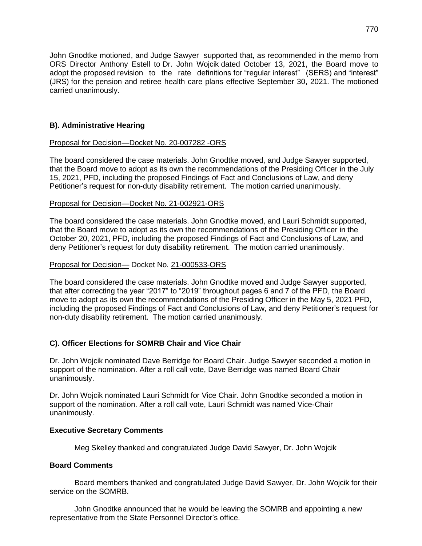John Gnodtke motioned, and Judge Sawyer supported that, as recommended in the memo from ORS Director Anthony Estell to Dr. John Wojcik dated October 13, 2021, the Board move to adopt the proposed revision to the rate definitions for "regular interest" (SERS) and "interest" (JRS) for the pension and retiree health care plans effective September 30, 2021. The motioned carried unanimously.

# **B). Administrative Hearing**

### Proposal for Decision—Docket No. 20-007282 -ORS

The board considered the case materials. John Gnodtke moved, and Judge Sawyer supported, that the Board move to adopt as its own the recommendations of the Presiding Officer in the July 15, 2021, PFD, including the proposed Findings of Fact and Conclusions of Law, and deny Petitioner's request for non-duty disability retirement. The motion carried unanimously.

### Proposal for Decision—Docket No. 21-002921-ORS

The board considered the case materials. John Gnodtke moved, and Lauri Schmidt supported, that the Board move to adopt as its own the recommendations of the Presiding Officer in the October 20, 2021, PFD, including the proposed Findings of Fact and Conclusions of Law, and deny Petitioner's request for duty disability retirement. The motion carried unanimously.

### Proposal for Decision— Docket No. 21-000533-ORS

The board considered the case materials. John Gnodtke moved and Judge Sawyer supported, that after correcting the year "2017" to "2019" throughout pages 6 and 7 of the PFD, the Board move to adopt as its own the recommendations of the Presiding Officer in the May 5, 2021 PFD, including the proposed Findings of Fact and Conclusions of Law, and deny Petitioner's request for non-duty disability retirement. The motion carried unanimously.

## **C). Officer Elections for SOMRB Chair and Vice Chair**

Dr. John Wojcik nominated Dave Berridge for Board Chair. Judge Sawyer seconded a motion in support of the nomination. After a roll call vote, Dave Berridge was named Board Chair unanimously.

Dr. John Wojcik nominated Lauri Schmidt for Vice Chair. John Gnodtke seconded a motion in support of the nomination. After a roll call vote, Lauri Schmidt was named Vice-Chair unanimously.

## **Executive Secretary Comments**

Meg Skelley thanked and congratulated Judge David Sawyer, Dr. John Wojcik

## **Board Comments**

Board members thanked and congratulated Judge David Sawyer, Dr. John Wojcik for their service on the SOMRB.

John Gnodtke announced that he would be leaving the SOMRB and appointing a new representative from the State Personnel Director's office.